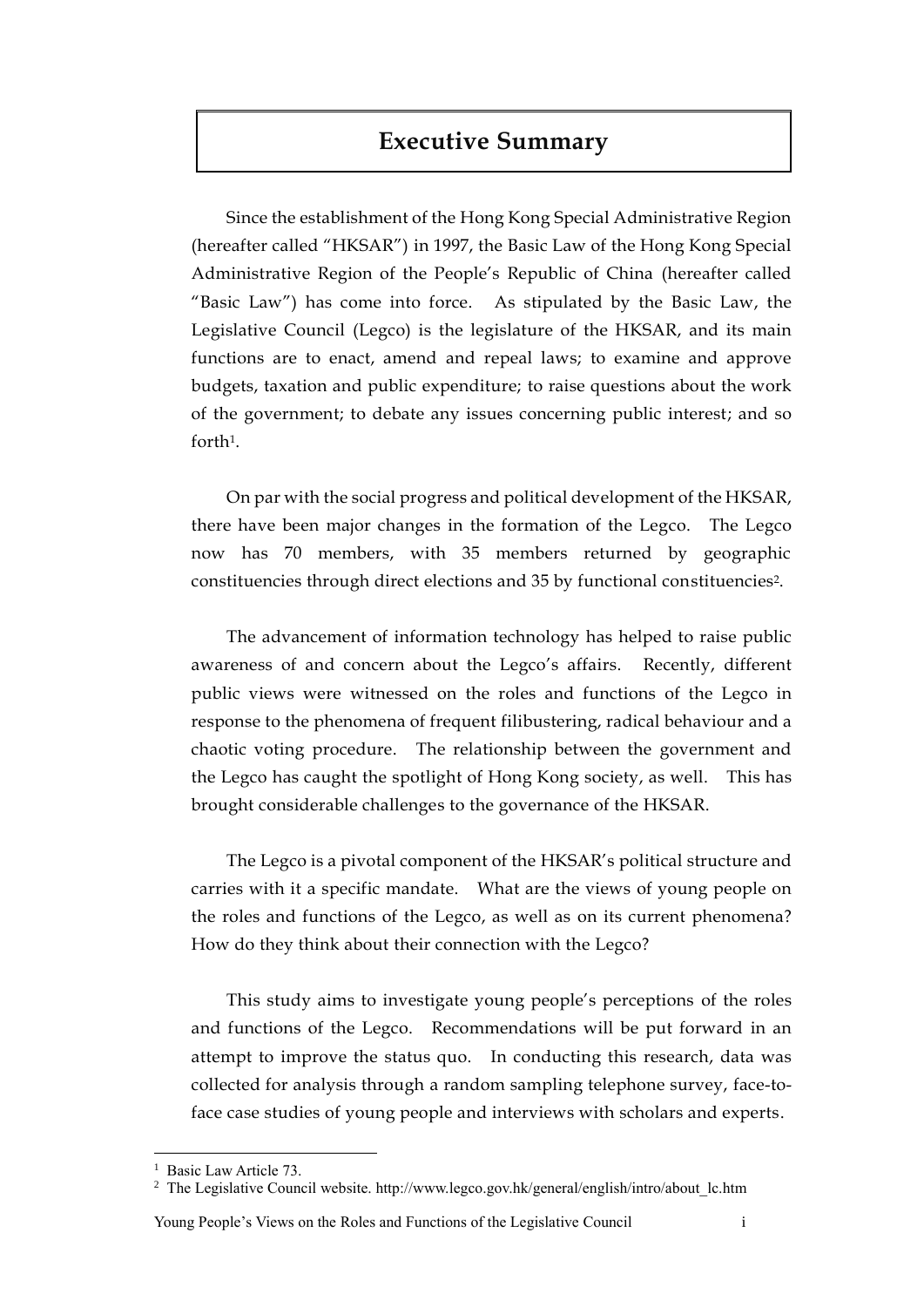# **Executive Summary**

Since the establishment of the Hong Kong Special Administrative Region (hereafter called "HKSAR") in 1997, the Basic Law of the Hong Kong Special Administrative Region of the People's Republic of China (hereafter called "Basic Law") has come into force. As stipulated by the Basic Law, the Legislative Council (Legco) is the legislature of the HKSAR, and its main functions are to enact, amend and repeal laws; to examine and approve budgets, taxation and public expenditure; to raise questions about the work of the government; to debate any issues concerning public interest; and so forth1.

On par with the social progress and political development of the HKSAR, there have been major changes in the formation of the Legco. The Legco now has 70 members, with 35 members returned by geographic constituencies through direct elections and 35 by functional constituencies2.

The advancement of information technology has helped to raise public awareness of and concern about the Legco's affairs. Recently, different public views were witnessed on the roles and functions of the Legco in response to the phenomena of frequent filibustering, radical behaviour and a chaotic voting procedure. The relationship between the government and the Legco has caught the spotlight of Hong Kong society, as well. This has brought considerable challenges to the governance of the HKSAR.

The Legco is a pivotal component of the HKSAR's political structure and carries with it a specific mandate. What are the views of young people on the roles and functions of the Legco, as well as on its current phenomena? How do they think about their connection with the Legco?

This study aims to investigate young people's perceptions of the roles and functions of the Legco. Recommendations will be put forward in an attempt to improve the status quo. In conducting this research, data was collected for analysis through a random sampling telephone survey, face-toface case studies of young people and interviews with scholars and experts.

 $\overline{a}$ 

Young People's Views on the Roles and Functions of the Legislative Council i

<sup>&</sup>lt;sup>1</sup> Basic Law Article 73.

<sup>2</sup> The Legislative Council website. http://www.legco.gov.hk/general/english/intro/about\_lc.htm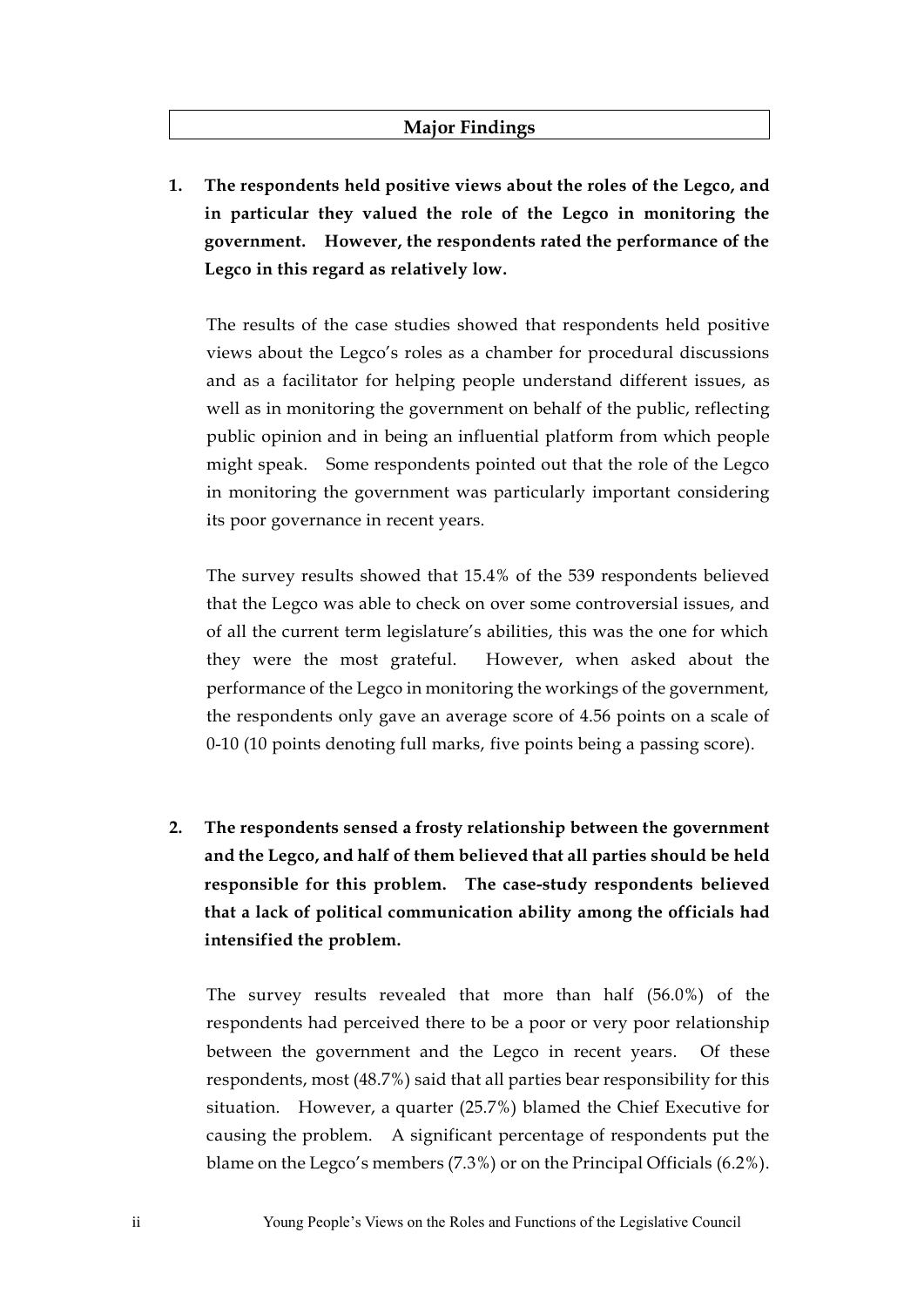### **Major Findings**

**1. The respondents held positive views about the roles of the Legco, and in particular they valued the role of the Legco in monitoring the government. However, the respondents rated the performance of the Legco in this regard as relatively low.**

The results of the case studies showed that respondents held positive views about the Legco's roles as a chamber for procedural discussions and as a facilitator for helping people understand different issues, as well as in monitoring the government on behalf of the public, reflecting public opinion and in being an influential platform from which people might speak. Some respondents pointed out that the role of the Legco in monitoring the government was particularly important considering its poor governance in recent years.

The survey results showed that 15.4% of the 539 respondents believed that the Legco was able to check on over some controversial issues, and of all the current term legislature's abilities, this was the one for which they were the most grateful. However, when asked about the performance of the Legco in monitoring the workings of the government, the respondents only gave an average score of 4.56 points on a scale of 0-10 (10 points denoting full marks, five points being a passing score).

**2. The respondents sensed a frosty relationship between the government and the Legco, and half of them believed that all parties should be held responsible for this problem. The case-study respondents believed that a lack of political communication ability among the officials had intensified the problem.**

The survey results revealed that more than half (56.0%) of the respondents had perceived there to be a poor or very poor relationship between the government and the Legco in recent years. Of these respondents, most (48.7%) said that all parties bear responsibility for this situation. However, a quarter (25.7%) blamed the Chief Executive for causing the problem. A significant percentage of respondents put the blame on the Legco's members (7.3%) or on the Principal Officials (6.2%).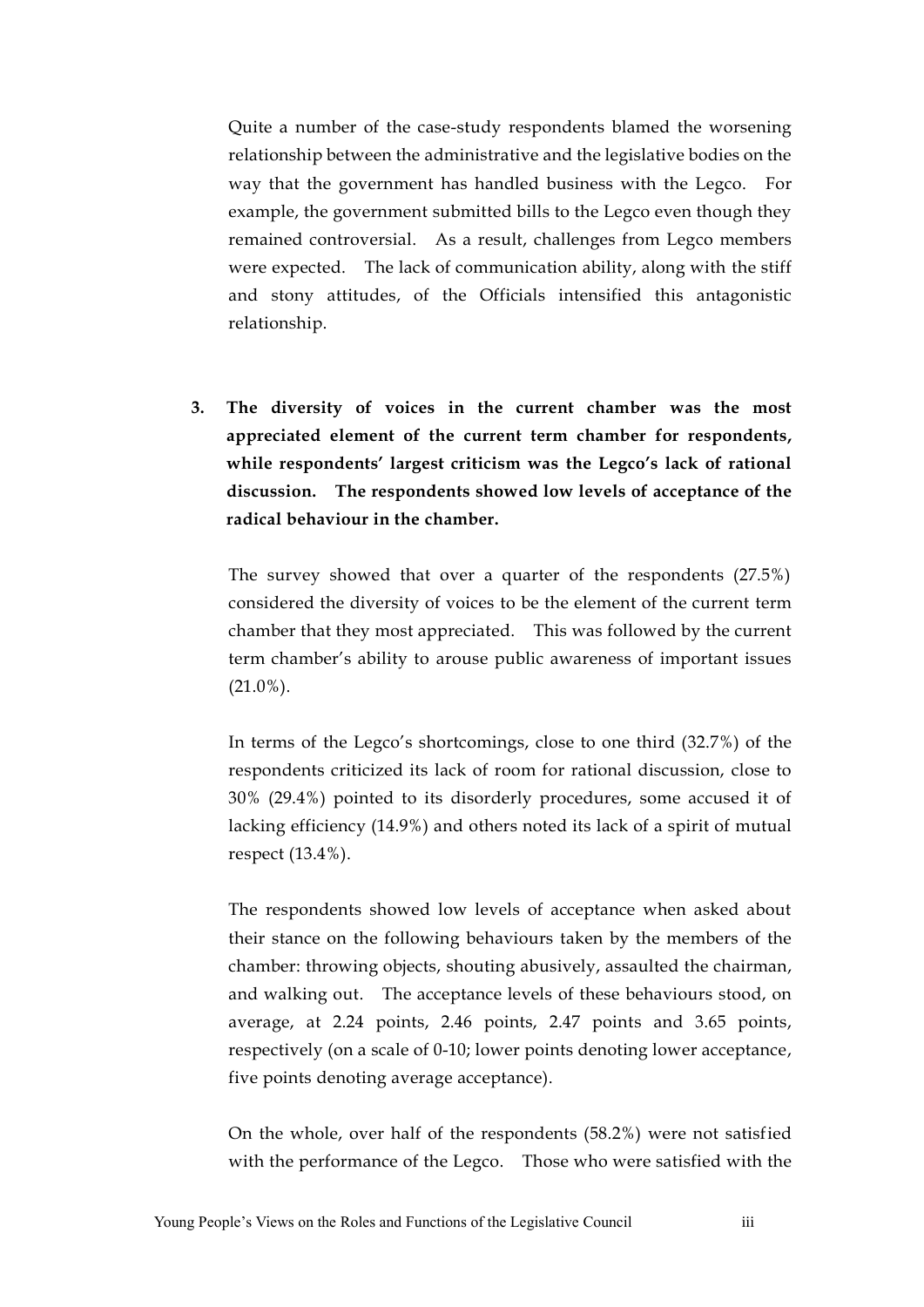Quite a number of the case-study respondents blamed the worsening relationship between the administrative and the legislative bodies on the way that the government has handled business with the Legco. For example, the government submitted bills to the Legco even though they remained controversial. As a result, challenges from Legco members were expected. The lack of communication ability, along with the stiff and stony attitudes, of the Officials intensified this antagonistic relationship.

**3. The diversity of voices in the current chamber was the most appreciated element of the current term chamber for respondents, while respondents' largest criticism was the Legco's lack of rational discussion. The respondents showed low levels of acceptance of the radical behaviour in the chamber.**

The survey showed that over a quarter of the respondents (27.5%) considered the diversity of voices to be the element of the current term chamber that they most appreciated. This was followed by the current term chamber's ability to arouse public awareness of important issues (21.0%).

In terms of the Legco's shortcomings, close to one third (32.7%) of the respondents criticized its lack of room for rational discussion, close to 30% (29.4%) pointed to its disorderly procedures, some accused it of lacking efficiency (14.9%) and others noted its lack of a spirit of mutual respect (13.4%).

The respondents showed low levels of acceptance when asked about their stance on the following behaviours taken by the members of the chamber: throwing objects, shouting abusively, assaulted the chairman, and walking out. The acceptance levels of these behaviours stood, on average, at 2.24 points, 2.46 points, 2.47 points and 3.65 points, respectively (on a scale of 0-10; lower points denoting lower acceptance, five points denoting average acceptance).

On the whole, over half of the respondents (58.2%) were not satisfied with the performance of the Legco. Those who were satisfied with the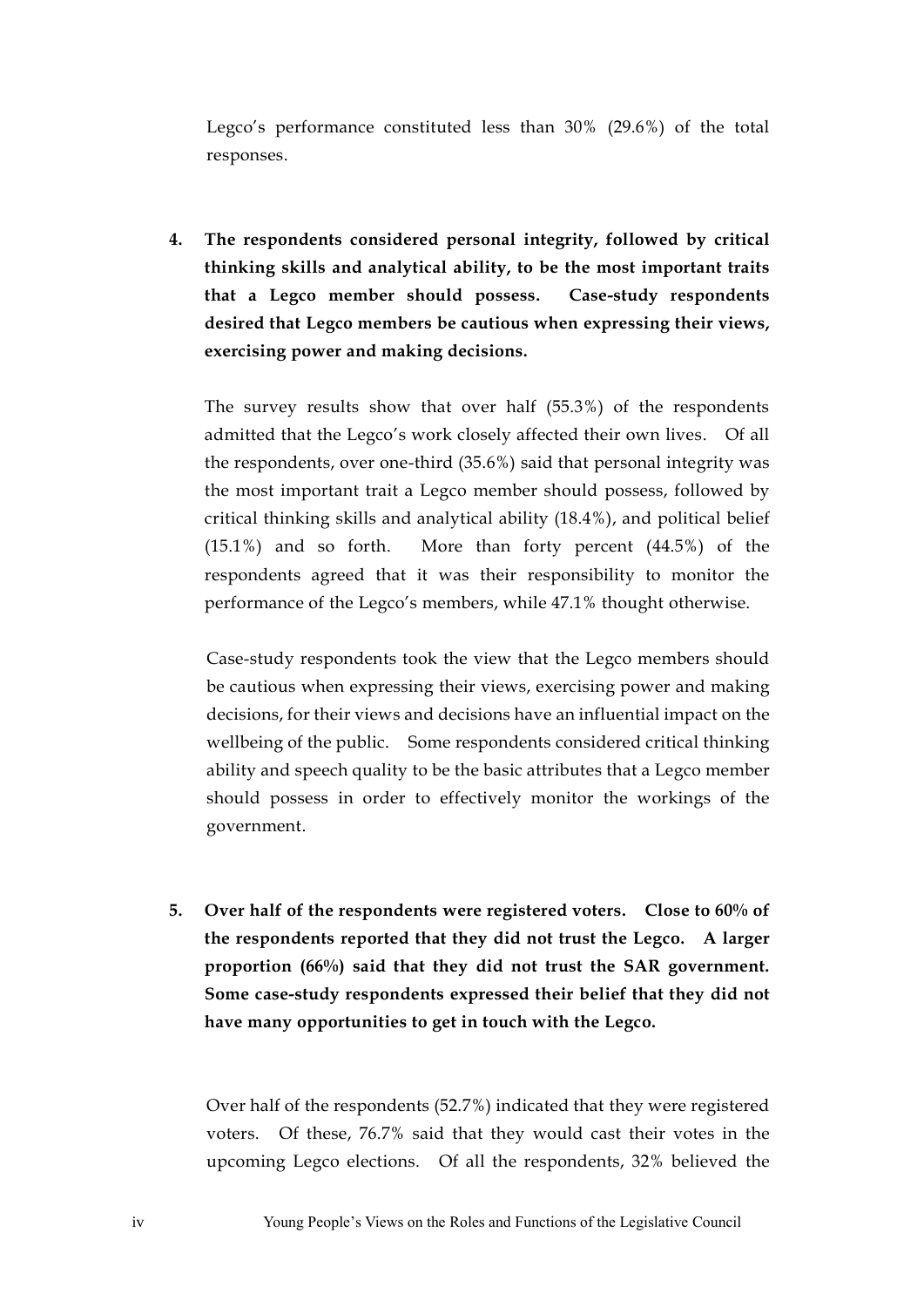Legco's performance constituted less than 30% (29.6%) of the total responses.

**4. The respondents considered personal integrity, followed by critical thinking skills and analytical ability, to be the most important traits that a Legco member should possess. Case-study respondents desired that Legco members be cautious when expressing their views, exercising power and making decisions.** 

The survey results show that over half (55.3%) of the respondents admitted that the Legco's work closely affected their own lives. Of all the respondents, over one-third (35.6%) said that personal integrity was the most important trait a Legco member should possess, followed by critical thinking skills and analytical ability (18.4%), and political belief (15.1%) and so forth. More than forty percent (44.5%) of the respondents agreed that it was their responsibility to monitor the performance of the Legco's members, while 47.1% thought otherwise.

Case-study respondents took the view that the Legco members should be cautious when expressing their views, exercising power and making decisions, for their views and decisions have an influential impact on the wellbeing of the public. Some respondents considered critical thinking ability and speech quality to be the basic attributes that a Legco member should possess in order to effectively monitor the workings of the government.

**5. Over half of the respondents were registered voters. Close to 60% of the respondents reported that they did not trust the Legco. A larger proportion (66%) said that they did not trust the SAR government. Some case-study respondents expressed their belief that they did not have many opportunities to get in touch with the Legco.** 

Over half of the respondents (52.7%) indicated that they were registered voters. Of these, 76.7% said that they would cast their votes in the upcoming Legco elections. Of all the respondents, 32% believed the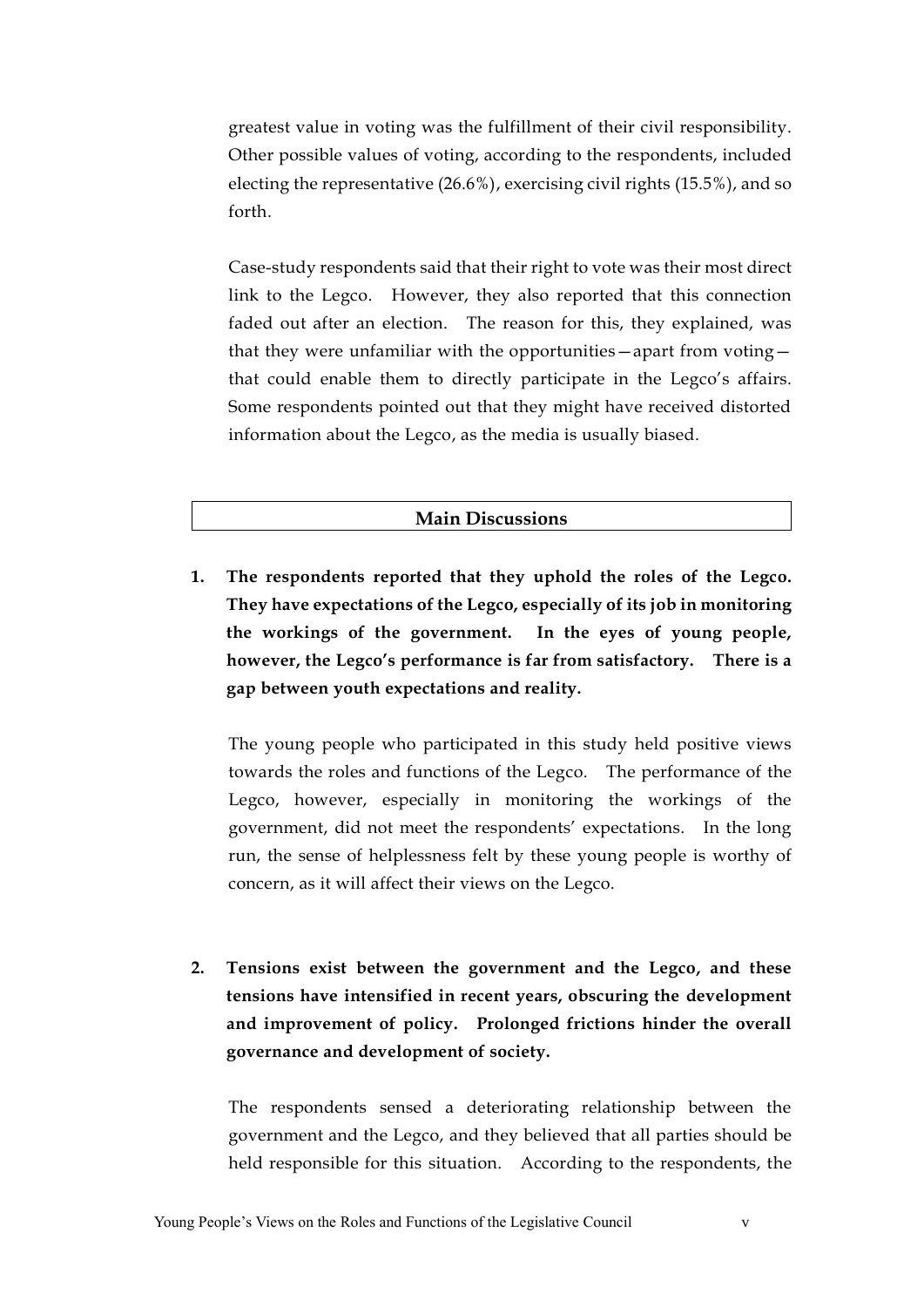greatest value in voting was the fulfillment of their civil responsibility. Other possible values of voting, according to the respondents, included electing the representative (26.6%), exercising civil rights (15.5%), and so forth.

Case-study respondents said that their right to vote was their most direct link to the Legco. However, they also reported that this connection faded out after an election. The reason for this, they explained, was that they were unfamiliar with the opportunities—apart from voting that could enable them to directly participate in the Legco's affairs. Some respondents pointed out that they might have received distorted information about the Legco, as the media is usually biased.

## **Main Discussions**

**1. The respondents reported that they uphold the roles of the Legco. They have expectations of the Legco, especially of its job in monitoring the workings of the government. In the eyes of young people, however, the Legco's performance is far from satisfactory. There is a gap between youth expectations and reality.** 

The young people who participated in this study held positive views towards the roles and functions of the Legco. The performance of the Legco, however, especially in monitoring the workings of the government, did not meet the respondents' expectations. In the long run, the sense of helplessness felt by these young people is worthy of concern, as it will affect their views on the Legco.

**2. Tensions exist between the government and the Legco, and these tensions have intensified in recent years, obscuring the development and improvement of policy. Prolonged frictions hinder the overall governance and development of society.** 

The respondents sensed a deteriorating relationship between the government and the Legco, and they believed that all parties should be held responsible for this situation. According to the respondents, the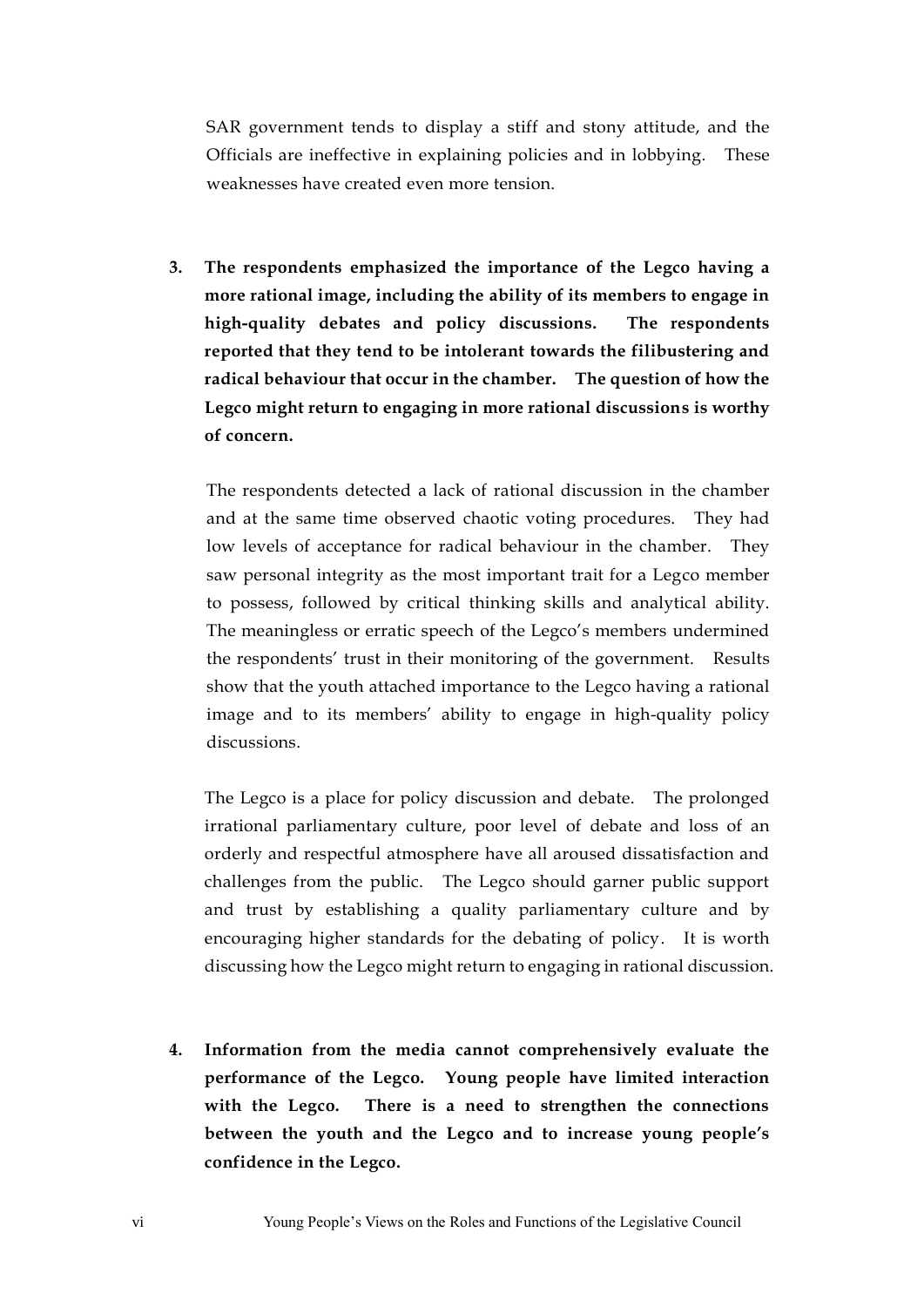SAR government tends to display a stiff and stony attitude, and the Officials are ineffective in explaining policies and in lobbying. These weaknesses have created even more tension.

**3. The respondents emphasized the importance of the Legco having a more rational image, including the ability of its members to engage in high-quality debates and policy discussions. The respondents reported that they tend to be intolerant towards the filibustering and radical behaviour that occur in the chamber. The question of how the Legco might return to engaging in more rational discussions is worthy of concern.** 

The respondents detected a lack of rational discussion in the chamber and at the same time observed chaotic voting procedures. They had low levels of acceptance for radical behaviour in the chamber. They saw personal integrity as the most important trait for a Legco member to possess, followed by critical thinking skills and analytical ability. The meaningless or erratic speech of the Legco's members undermined the respondents' trust in their monitoring of the government. Results show that the youth attached importance to the Legco having a rational image and to its members' ability to engage in high-quality policy discussions.

The Legco is a place for policy discussion and debate. The prolonged irrational parliamentary culture, poor level of debate and loss of an orderly and respectful atmosphere have all aroused dissatisfaction and challenges from the public. The Legco should garner public support and trust by establishing a quality parliamentary culture and by encouraging higher standards for the debating of policy. It is worth discussing how the Legco might return to engaging in rational discussion.

**4. Information from the media cannot comprehensively evaluate the performance of the Legco. Young people have limited interaction with the Legco. There is a need to strengthen the connections between the youth and the Legco and to increase young people's confidence in the Legco.**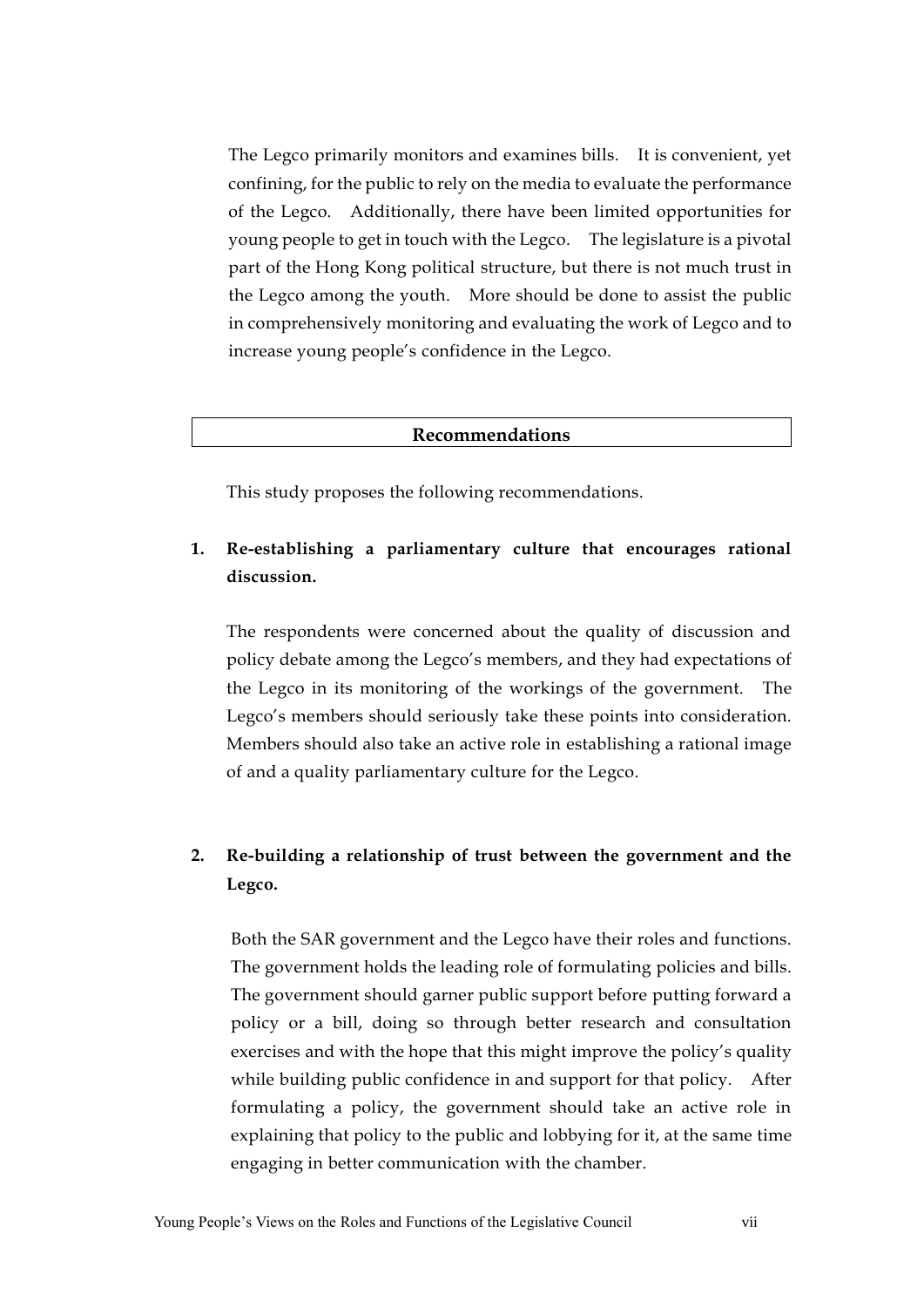The Legco primarily monitors and examines bills. It is convenient, yet confining, for the public to rely on the media to evaluate the performance of the Legco. Additionally, there have been limited opportunities for young people to get in touch with the Legco. The legislature is a pivotal part of the Hong Kong political structure, but there is not much trust in the Legco among the youth. More should be done to assist the public in comprehensively monitoring and evaluating the work of Legco and to increase young people's confidence in the Legco.

#### **Recommendations**

This study proposes the following recommendations.

## **1. Re-establishing a parliamentary culture that encourages rational discussion.**

The respondents were concerned about the quality of discussion and policy debate among the Legco's members, and they had expectations of the Legco in its monitoring of the workings of the government. The Legco's members should seriously take these points into consideration. Members should also take an active role in establishing a rational image of and a quality parliamentary culture for the Legco.

## **2. Re-building a relationship of trust between the government and the Legco.**

Both the SAR government and the Legco have their roles and functions. The government holds the leading role of formulating policies and bills. The government should garner public support before putting forward a policy or a bill, doing so through better research and consultation exercises and with the hope that this might improve the policy's quality while building public confidence in and support for that policy. After formulating a policy, the government should take an active role in explaining that policy to the public and lobbying for it, at the same time engaging in better communication with the chamber.